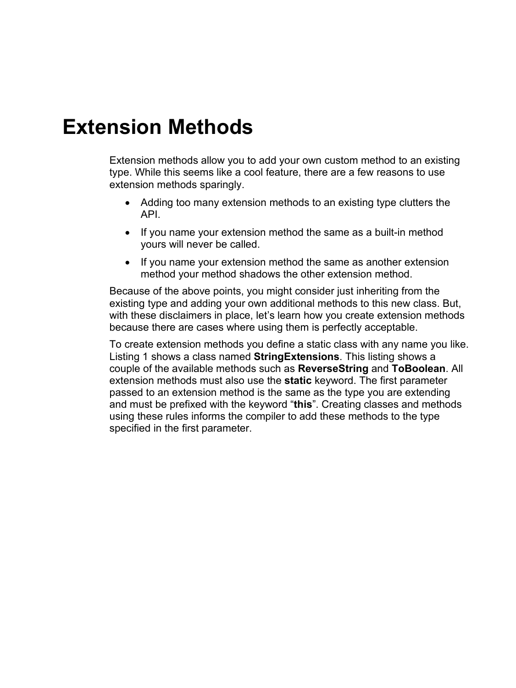## **Extension Methods**

Extension methods allow you to add your own custom method to an existing type. While this seems like a cool feature, there are a few reasons to use extension methods sparingly.

- Adding too many extension methods to an existing type clutters the API.
- If you name your extension method the same as a built-in method yours will never be called.
- If you name your extension method the same as another extension method your method shadows the other extension method.

Because of the above points, you might consider just inheriting from the existing type and adding your own additional methods to this new class. But, with these disclaimers in place, let's learn how you create extension methods because there are cases where using them is perfectly acceptable.

To create extension methods you define a static class with any name you like. [Listing 1](#page-1-0) shows a class named **StringExtensions**. This listing shows a couple of the available methods such as **ReverseString** and **ToBoolean**. All extension methods must also use the **static** keyword. The first parameter passed to an extension method is the same as the type you are extending and must be prefixed with the keyword "**this**". Creating classes and methods using these rules informs the compiler to add these methods to the type specified in the first parameter.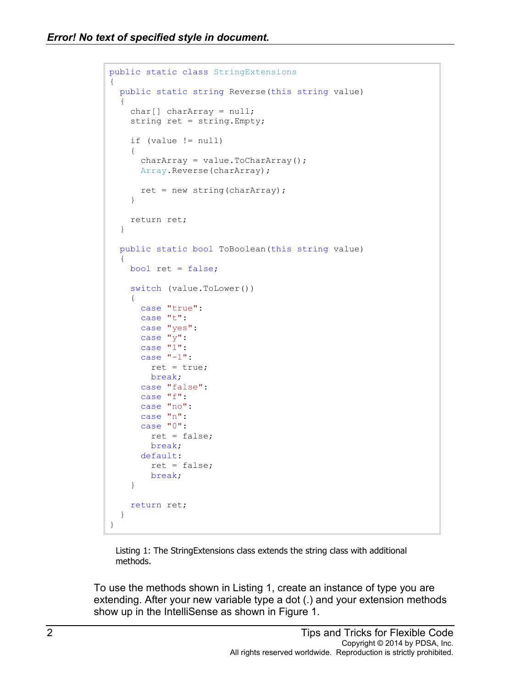```
public static class StringExtensions
{
  public static string Reverse(this string value)
   {
     char[] charArray = null;
     string ret = string.Empty;
     if (value != null)
     {
      charArray = value.ToCharArray();
      Array.Reverse(charArray);
      ret = new string(charArray);
     }
     return ret;
   }
   public static bool ToBoolean(this string value)
   {
     bool ret = false;
     switch (value.ToLower())
     {
       case "true":
      case "t":
      case "yes":
      case "y":
       case "1":
       case "-1":
        ret = true;
        break;
       case "false":
       case "f":
       case "no":
       case "n":
       case "0":
         ret = false;
         break;
       default:
        ret = false; break;
     }
    return ret;
   }
}
```
Listing 1: The StringExtensions class extends the string class with additional methods.

<span id="page-1-0"></span>To use the methods shown in [Listing 1,](#page-1-0) create an instance of type you are extending. After your new variable type a dot (.) and your extension methods show up in the IntelliSense as shown in [Figure 1.](#page-2-0)